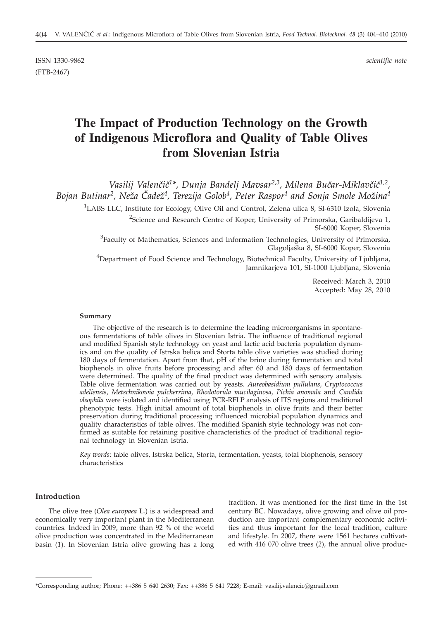ISSN 1330-9862 *scientific note* (FTB-2467)

# **The Impact of Production Technology on the Growth of Indigenous Microflora and Quality of Table Olives from Slovenian Istria**

Vasilij Valenčič<sup>1\*</sup>, Dunja Bandelj Mavsar<sup>2,3</sup>, Milena Bučar-Miklavčič<sup>1,2</sup>, Bojan Butinar<sup>2</sup>, Neža Čadež<sup>4</sup>, Terezija Golob<sup>4</sup>, Peter Raspor<sup>4</sup> and Sonja Smole Možina<sup>4</sup>

<sup>1</sup>LABS LLC, Institute for Ecology, Olive Oil and Control, Zelena ulica 8, SI-6310 Izola, Slovenia

<sup>2</sup>Science and Research Centre of Koper, University of Primorska, Garibaldijeva 1, SI-6000 Koper, Slovenia

<sup>3</sup> Faculty of Mathematics, Sciences and Information Technologies, University of Primorska, Glagoljaška 8, SI-6000 Koper, Slovenia

<sup>4</sup>Department of Food Science and Technology, Biotechnical Faculty, University of Ljubljana, Jamnikarjeva 101, SI-1000 Ljubljana, Slovenia

> Received: March 3, 2010 Accepted: May 28, 2010

#### **Summary**

The objective of the research is to determine the leading microorganisms in spontaneous fermentations of table olives in Slovenian Istria. The influence of traditional regional and modified Spanish style technology on yeast and lactic acid bacteria population dynamics and on the quality of Istrska belica and Storta table olive varieties was studied during 180 days of fermentation. Apart from that, pH of the brine during fermentation and total biophenols in olive fruits before processing and after 60 and 180 days of fermentation were determined. The quality of the final product was determined with sensory analysis. Table olive fermentation was carried out by yeasts. *Aureobasidium pullulans*, *Cryptococcus adeliensis*, *Metschnikowia pulcherrima*, *Rhodotorula mucilaginosa*, *Pichia anomala* and *Candida oleophila* were isolated and identified using PCR-RFLP analysis of ITS regions and traditional phenotypic tests. High initial amount of total biophenols in olive fruits and their better preservation during traditional processing influenced microbial population dynamics and quality characteristics of table olives. The modified Spanish style technology was not confirmed as suitable for retaining positive characteristics of the product of traditional regional technology in Slovenian Istria.

*Key words*: table olives, Istrska belica, Storta, fermentation, yeasts, total biophenols, sensory characteristics

## **Introduction**

The olive tree (*Olea europaea* L*.*) is a widespread and economically very important plant in the Mediterranean countries. Indeed in 2009, more than 92 % of the world olive production was concentrated in the Mediterranean basin (*1*). In Slovenian Istria olive growing has a long tradition. It was mentioned for the first time in the 1st century BC. Nowadays, olive growing and olive oil production are important complementary economic activities and thus important for the local tradition, culture and lifestyle. In 2007, there were 1561 hectares cultivated with 416 070 olive trees (*2*), the annual olive produc-

<sup>\*</sup>Corresponding author; Phone: ++386 5 640 2630; Fax: ++386 5 641 7228; E-mail: vasilij.valencic@gmail.com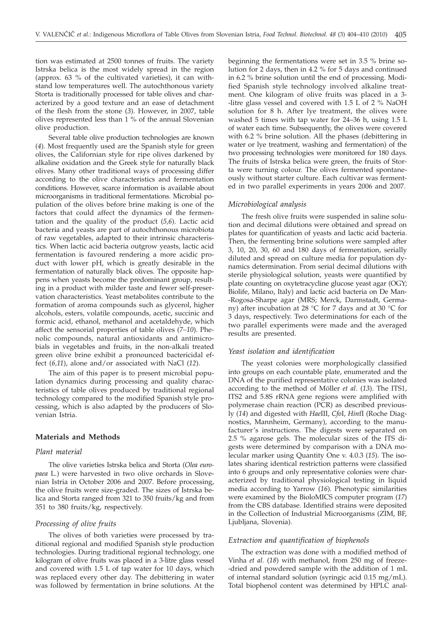tion was estimated at 2500 tonnes of fruits. The variety Istrska belica is the most widely spread in the region (approx. 63 % of the cultivated varieties), it can withstand low temperatures well. The autochthonous variety Storta is traditionally processed for table olives and characterized by a good texture and an ease of detachment of the flesh from the stone (*3*). However, in 2007, table olives represented less than 1 % of the annual Slovenian olive production.

Several table olive production technologies are known (*4*). Most frequently used are the Spanish style for green olives, the Californian style for ripe olives darkened by alkaline oxidation and the Greek style for naturally black olives. Many other traditional ways of processing differ according to the olive characteristics and fermentation conditions. However, scarce information is available about microorganisms in traditional fermentations. Microbial population of the olives before brine making is one of the factors that could affect the dynamics of the fermentation and the quality of the product (*5,6*). Lactic acid bacteria and yeasts are part of autochthonous microbiota of raw vegetables, adapted to their intrinsic characteristics. When lactic acid bacteria outgrow yeasts, lactic acid fermentation is favoured rendering a more acidic product with lower pH, which is greatly desirable in the fermentation of naturally black olives. The opposite happens when yeasts become the predominant group, resulting in a product with milder taste and fewer self-preservation characteristics. Yeast metabolites contribute to the formation of aroma compounds such as glycerol, higher alcohols, esters, volatile compounds, acetic, succinic and formic acid, ethanol, methanol and acetaldehyde, which affect the sensorial properties of table olives (*7–10*). Phenolic compounds, natural antioxidants and antimicrobials in vegetables and fruits, in the non-alkali treated green olive brine exhibit a pronounced bactericidal effect (*6,11*), alone and/or associated with NaCl (*12*).

The aim of this paper is to present microbial population dynamics during processing and quality characteristics of table olives produced by traditional regional technology compared to the modified Spanish style processing, which is also adapted by the producers of Slovenian Istria.

#### **Materials and Methods**

## *Plant material*

The olive varieties Istrska belica and Storta (*Olea europaea* L*.*) were harvested in two olive orchards in Slovenian Istria in October 2006 and 2007. Before processing, the olive fruits were size-graded. The sizes of Istrska belica and Storta ranged from 321 to 350 fruits/kg and from 351 to 380 fruits/kg, respectively.

#### *Processing of olive fruits*

The olives of both varieties were processed by traditional regional and modified Spanish style production technologies. During traditional regional technology, one kilogram of olive fruits was placed in a 3-litre glass vessel and covered with 1.5 L of tap water for 10 days, which was replaced every other day. The debittering in water was followed by fermentation in brine solutions. At the

beginning the fermentations were set in 3.5 % brine solution for 2 days, then in 4.2 % for 5 days and continued in 6.2 % brine solution until the end of processing. Modified Spanish style technology involved alkaline treatment. One kilogram of olive fruits was placed in a 3- -litre glass vessel and covered with 1.5 L of 2 % NaOH solution for 8 h. After lye treatment, the olives were washed 5 times with tap water for 24–36 h, using 1.5 L of water each time. Subsequently, the olives were covered with 6.2 % brine solution. All the phases (debittering in water or lye treatment, washing and fermentation) of the two processing technologies were monitored for 180 days. The fruits of Istrska belica were green, the fruits of Storta were turning colour. The olives fermented spontaneously without starter culture. Each cultivar was fermented in two parallel experiments in years 2006 and 2007.

#### *Microbiological analysis*

The fresh olive fruits were suspended in saline solution and decimal dilutions were obtained and spread on plates for quantification of yeasts and lactic acid bacteria. Then, the fermenting brine solutions were sampled after 3, 10, 20, 30, 60 and 180 days of fermentation, serially diluted and spread on culture media for population dynamics determination. From serial decimal dilutions with sterile physiological solution, yeasts were quantified by plate counting on oxytetracycline glucose yeast agar (OGY; Biolife, Milano, Italy) and lactic acid bacteria on De Man- -Rogosa-Sharpe agar (MRS; Merck, Darmstadt, Germany) after incubation at 28 °C for 7 days and at 30 °C for 3 days, respectively. Two determinations for each of the two parallel experiments were made and the averaged results are presented.

## *Yeast isolation and identification*

The yeast colonies were morphologically classified into groups on each countable plate, enumerated and the DNA of the purified representative colonies was isolated according to the method of Möller *et al.* (*13*). The ITS1, ITS2 and 5.8S rRNA gene regions were amplified with polymerase chain reaction (PCR) as described previously (*14*) and digested with *Hae*III, *Cfo*I, *Hin*fI (Roche Diagnostics, Mannheim, Germany), according to the manufacturer's instructions. The digests were separated on 2.5 % agarose gels. The molecular sizes of the ITS digests were determined by comparison with a DNA molecular marker using Quantity One v. 4.0.3 (*15*). The isolates sharing identical restriction patterns were classified into 6 groups and only representative colonies were characterized by traditional physiological testing in liquid media according to Yarrow (*16*). Phenotypic similarities were examined by the BioloMICS computer program (*17*) from the CBS database. Identified strains were deposited in the Collection of Industrial Microorganisms (ZIM, BF, Ljubljana, Slovenia).

#### *Extraction and quantification of biophenols*

The extraction was done with a modified method of Vinha *et al.* (*18*) with methanol, from 250 mg of freeze- -dried and powdered sample with the addition of 1 mL of internal standard solution (syringic acid 0.15 mg/mL). Total biophenol content was determined by HPLC anal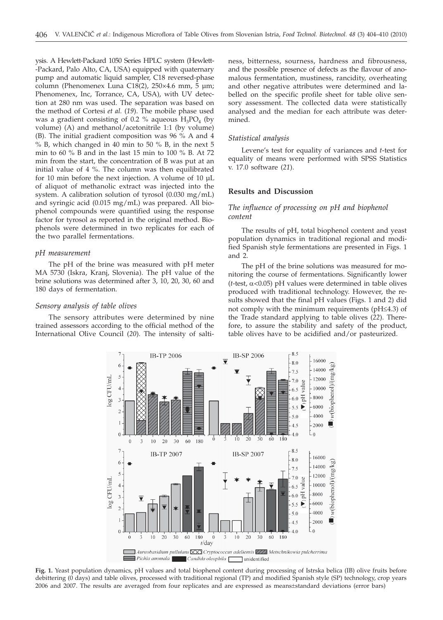ysis. A Hewlett-Packard 1050 Series HPLC system (Hewlett- -Packard, Palo Alto, CA, USA) equipped with quaternary pump and automatic liquid sampler, C18 reversed-phase column (Phenomenex Luna C18(2), 250×4.6 mm, 5 µm; Phenomenex, Inc, Torrance, CA, USA), with UV detection at 280 nm was used. The separation was based on the method of Cortesi *et al.* (*19*). The mobile phase used was a gradient consisting of 0.2 % aqueous  $H_3PO_4$  (by volume) (A) and methanol/acetonitrile 1:1 (by volume) (B). The initial gradient composition was 96 % A and 4 % B, which changed in 40 min to 50 % B, in the next 5 min to 60 % B and in the last 15 min to 100 % B. At 72 min from the start, the concentration of B was put at an initial value of 4 %. The column was then equilibrated for 10 min before the next injection. A volume of 10 µL of aliquot of methanolic extract was injected into the system. A calibration solution of tyrosol (0.030 mg/mL) and syringic acid (0.015 mg/mL) was prepared. All biophenol compounds were quantified using the response factor for tyrosol as reported in the original method. Biophenols were determined in two replicates for each of the two parallel fermentations.

#### *pH measurement*

The pH of the brine was measured with pH meter MA 5730 (Iskra, Kranj, Slovenia). The pH value of the brine solutions was determined after 3, 10, 20, 30, 60 and 180 days of fermentation.

#### *Sensory analysis of table olives*

The sensory attributes were determined by nine trained assessors according to the official method of the International Olive Council (*20*). The intensity of saltiness, bitterness, sourness, hardness and fibrousness, and the possible presence of defects as the flavour of anomalous fermentation, mustiness, rancidity, overheating and other negative attributes were determined and labelled on the specific profile sheet for table olive sensory assessment. The collected data were statistically analysed and the median for each attribute was determined.

#### *Statistical analysis*

Levene's test for equality of variances and *t*-test for equality of means were performed with SPSS Statistics v. 17.0 software (*21*).

#### **Results and Discussion**

## *The influence of processing on pH and biophenol content*

The results of pH, total biophenol content and yeast population dynamics in traditional regional and modified Spanish style fermentations are presented in Figs. 1 and 2.

The pH of the brine solutions was measured for monitoring the course of fermentations. Significantly lower  $(t$ -test,  $\alpha$ <0.05) pH values were determined in table olives produced with traditional technology. However, the results showed that the final pH values (Figs. 1 and 2) did not comply with the minimum requirements ( $pH \le 4.3$ ) of the Trade standard applying to table olives (*22*). Therefore, to assure the stability and safety of the product, table olives have to be acidified and/or pasteurized.



**Fig. 1.** Yeast population dynamics, pH values and total biophenol content during processing of Istrska belica (IB) olive fruits before debittering (0 days) and table olives, processed with traditional regional (TP) and modified Spanish style (SP) technology, crop years 2006 and 2007. The results are averaged from four replicates and are expressed as means±standard deviations (error bars)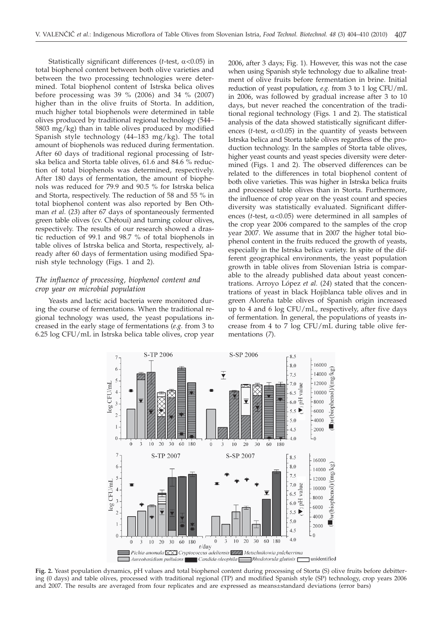Statistically significant differences ( $t$ -test,  $\alpha$ <0.05) in total biophenol content between both olive varieties and between the two processing technologies were determined. Total biophenol content of Istrska belica olives before processing was 39 % (2006) and 34 % (2007) higher than in the olive fruits of Storta. In addition, much higher total biophenols were determined in table olives produced by traditional regional technology (544– 5803 mg/kg) than in table olives produced by modified Spanish style technology (44–183 mg/kg). The total amount of biophenols was reduced during fermentation. After 60 days of traditional regional processing of Istrska belica and Storta table olives, 61.6 and 84.6 % reduction of total biophenols was determined, respectively. After 180 days of fermentation, the amount of biophenols was reduced for 79.9 and 90.5 % for Istrska belica and Storta, respectively. The reduction of 58 and 55 % in total biophenol content was also reported by Ben Othman *et al.* (*23*) after 67 days of spontaneously fermented green table olives (cv. Chétoui) and turning colour olives, respectively. The results of our research showed a drastic reduction of 99.1 and 98.7 % of total biophenols in table olives of Istrska belica and Storta, respectively, already after 60 days of fermentation using modified Spanish style technology (Figs. 1 and 2).

# *The influence of processing, biophenol content and crop year on microbial population*

Yeasts and lactic acid bacteria were monitored during the course of fermentations. When the traditional regional technology was used, the yeast populations increased in the early stage of fermentations (*e.g.* from 3 to 6.25 log CFU/mL in Istrska belica table olives, crop year

2006, after 3 days; Fig. 1). However, this was not the case when using Spanish style technology due to alkaline treatment of olive fruits before fermentation in brine. Initial reduction of yeast population, *e.g.* from 3 to 1 log CFU/mL in 2006, was followed by gradual increase after 3 to 10 days, but never reached the concentration of the traditional regional technology (Figs. 1 and 2). The statistical analysis of the data showed statistically significant differences ( $t$ -test,  $\alpha$ <0.05) in the quantity of yeasts between Istrska belica and Storta table olives regardless of the production technology. In the samples of Storta table olives, higher yeast counts and yeast species diversity were determined (Figs. 1 and 2). The observed differences can be related to the differences in total biophenol content of both olive varieties. This was higher in Istrska belica fruits and processed table olives than in Storta. Furthermore, the influence of crop year on the yeast count and species diversity was statistically evaluated. Significant differences ( $t$ -test,  $\alpha$ <0.05) were determined in all samples of the crop year 2006 compared to the samples of the crop year 2007. We assume that in 2007 the higher total biophenol content in the fruits reduced the growth of yeasts, especially in the Istrska belica variety. In spite of the different geographical environments, the yeast population growth in table olives from Slovenian Istria is comparable to the already published data about yeast concentrations. Arroyo López *et al.* (*24*) stated that the concentrations of yeast in black Hojiblanca table olives and in green Aloreña table olives of Spanish origin increased up to 4 and 6 log CFU/mL, respectively, after five days of fermentation. In general, the populations of yeasts increase from 4 to 7 log CFU/mL during table olive fermentations (*7*).



**Fig. 2.** Yeast population dynamics, pH values and total biophenol content during processing of Storta (S) olive fruits before debittering (0 days) and table olives, processed with traditional regional (TP) and modified Spanish style (SP) technology, crop years 2006 and 2007. The results are averaged from four replicates and are expressed as means±standard deviations (error bars)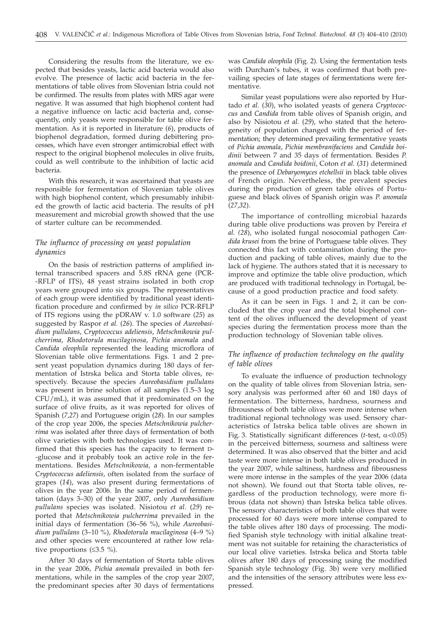Considering the results from the literature, we expected that besides yeasts, lactic acid bacteria would also evolve. The presence of lactic acid bacteria in the fermentations of table olives from Slovenian Istria could not be confirmed. The results from plates with MRS agar were negative. It was assumed that high biophenol content had a negative influence on lactic acid bacteria and, consequently, only yeasts were responsible for table olive fermentation. As it is reported in literature (*6*), products of biophenol degradation, formed during debittering processes, which have even stronger antimicrobial effect with respect to the original biophenol molecules in olive fruits, could as well contribute to the inhibition of lactic acid bacteria.

With this research, it was ascertained that yeasts are responsible for fermentation of Slovenian table olives with high biophenol content, which presumably inhibited the growth of lactic acid bacteria. The results of pH measurement and microbial growth showed that the use of starter culture can be recommended.

# *The influence of processing on yeast population dynamics*

On the basis of restriction patterns of amplified internal transcribed spacers and 5.8S rRNA gene (PCR- -RFLP of ITS), 48 yeast strains isolated in both crop years were grouped into six groups. The representatives of each group were identified by traditional yeast identification procedure and confirmed by *in silico* PCR-RFLP of ITS regions using the pDRAW v. 1.0 software (*25*) as suggested by Raspor *et al.* (*26*). The species of *Aureobasidium pullulans*, *Cryptococcus adeliensis*, *Metschnikowia pulcherrima*, *Rhodotorula mucilaginosa*, *Pichia anomala* and *Candida oleophila* represented the leading microflora of Slovenian table olive fermentations*.* Figs. 1 and 2 present yeast population dynamics during 180 days of fermentation of Istrska belica and Storta table olives, respectively. Because the species *Aureobasidium pullulans* was present in brine solution of all samples (1.5–3 log CFU/mL), it was assumed that it predominated on the surface of olive fruits, as it was reported for olives of Spanish (*7,27*) and Portuguese origin (*28*). In our samples of the crop year 2006, the species *Metschnikowia pulcherrima* was isolated after three days of fermentation of both olive varieties with both technologies used. It was confirmed that this species has the capacity to ferment D- -glucose and it probably took an active role in the fermentations. Besides *Metschnikowia,* a non-fermentable *Cryptococcus adeliensis,* often isolated from the surface of grapes (*14*), was also present during fermentations of olives in the year 2006. In the same period of fermentation (days 3–30) of the year 2007, only *Aureobasidium pullulans* species was isolated. Nisiotou *et al.* (*29*) reported that *Metschnikowia pulcherrima* prevailed in the initial days of fermentation (36–56 %), while *Aureobasidium pullulans* (3–10 %), *Rhodotorula mucilaginosa* (4–9 %) and other species were encountered at rather low relative proportions  $( \leq 3.5 \%)$ .

After 30 days of fermentation of Storta table olives in the year 2006, *Pichia anomala* prevailed in both fermentations, while in the samples of the crop year 2007, the predominant species after 30 days of fermentations

was *Candida oleophila* (Fig. 2). Using the fermentation tests with Durcham's tubes, it was confirmed that both prevailing species of late stages of fermentations were fermentative.

Similar yeast populations were also reported by Hurtado *et al.* (*30*), who isolated yeasts of genera *Cryptococcus* and *Candida* from table olives of Spanish origin, and also by Nisiotou *et al.* (*29*), who stated that the heterogeneity of population changed with the period of fermentation; they determined prevailing fermentative yeasts of *Pichia anomala*, *Pichia membranifaciens* and *Candida boidinii* between 7 and 35 days of fermentation. Besides *P. anomala* and *Candida boidinii*, Coton *et al.* (*31*) determined the presence of *Debaryomyces etchellsii* in black table olives of French origin. Nevertheless, the prevalent species during the production of green table olives of Portuguese and black olives of Spanish origin was *P. anomala* (*27*,*32*).

The importance of controlling microbial hazards during table olive productions was proven by Pereira *et al. (28*), who isolated fungal nosocomial pathogen *Candida krusei* from the brine of Portuguese table olives. They connected this fact with contamination during the production and packing of table olives, mainly due to the lack of hygiene. The authors stated that it is necessary to improve and optimize the table olive production, which are produced with traditional technology in Portugal, because of a good production practice and food safety.

As it can be seen in Figs. 1 and 2, it can be concluded that the crop year and the total biophenol content of the olives influenced the development of yeast species during the fermentation process more than the production technology of Slovenian table olives.

## *The influence of production technology on the quality of table olives*

To evaluate the influence of production technology on the quality of table olives from Slovenian Istria, sensory analysis was performed after 60 and 180 days of fermentation. The bitterness, hardness, sourness and fibrousness of both table olives were more intense when traditional regional technology was used. Sensory characteristics of Istrska belica table olives are shown in Fig. 3. Statistically significant differences ( $t$ -test,  $\alpha$ <0.05) in the perceived bitterness, sourness and saltiness were determined. It was also observed that the bitter and acid taste were more intense in both table olives produced in the year 2007, while saltiness, hardness and fibrousness were more intense in the samples of the year 2006 (data not shown). We found out that Storta table olives, regardless of the production technology, were more fibrous (data not shown) than Istrska belica table olives. The sensory characteristics of both table olives that were processed for 60 days were more intense compared to the table olives after 180 days of processing. The modified Spanish style technology with initial alkaline treatment was not suitable for retaining the characteristics of our local olive varieties. Istrska belica and Storta table olives after 180 days of processing using the modified Spanish style technology (Fig. 3b) were very mollified and the intensities of the sensory attributes were less expressed.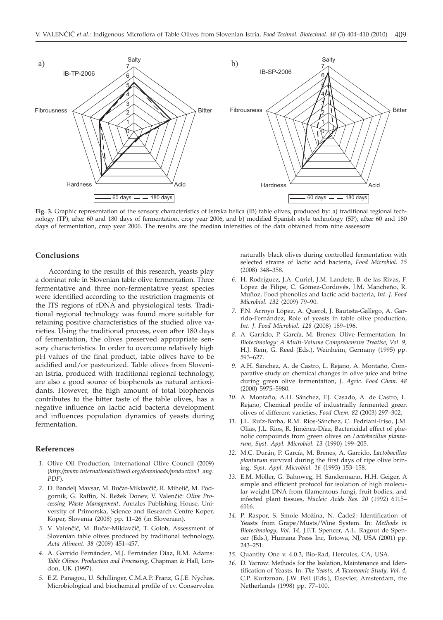

**Fig. 3.** Graphic representation of the sensory characteristics of Istrska belica (IB) table olives, produced by: a) traditional regional technology (TP), after 60 and 180 days of fermentation, crop year 2006, and b) modified Spanish style technology (SP), after 60 and 180 days of fermentation, crop year 2006. The results are the median intensities of the data obtained from nine assessors

#### **Conclusions**

According to the results of this research, yeasts play a dominat role in Slovenian table olive fermentation. Three fermentative and three non-fermentative yeast species were identified according to the restriction fragments of the ITS regions of rDNA and physiological tests. Traditional regional technology was found more suitable for retaining positive characteristics of the studied olive varieties. Using the traditional process, even after 180 days of fermentation, the olives preserved appropriate sensory characteristics. In order to overcome relatively high pH values of the final product, table olives have to be acidified and/or pasteurized. Table olives from Slovenian Istria, produced with traditional regional technology, are also a good source of biophenols as natural antioxidants. However, the high amount of total biophenols contributes to the bitter taste of the table olives, has a negative influence on lactic acid bacteria development and influences population dynamics of yeasts during fermentation.

#### **References**

- *1.* Olive Oil Production, International Olive Council (2009) (*http://www.internationaloliveoil.org/downloads/production1\_ang. PDF*).
- 2. D. Bandelj Mavsar, M. Bučar-Miklavčič, R. Mihelič, M. Podgornik, G. Raffin, N. Režek Donev, V. Valenčič: Olive Pro*cessing Waste Management*, Annales Publishing House, University of Primorska, Science and Research Centre Koper, Koper, Slovenia (2008) pp. 11–26 (in Slovenian).
- 3. V. Valenčič, M. Bučar-Miklavčič, T. Golob, Assessment of Slovenian table olives produced by traditional technology, *Acta Aliment. 38* (2009) 451–457.
- *4.* A. Garrido Fernández, M.J. Fernández Díaz, R.M. Adams: *Table Olives. Production and Processing,* Chapman & Hall, London, UK (1997).
- *5.* E.Z. Panagou, U. Schillinger, C.M.A.P. Franz, G.J.E. Nychas, Microbiological and biochemical profile of cv. Conservolea

naturally black olives during controlled fermentation with selected strains of lactic acid bacteria, *Food Microbiol*. *25* (2008) 348–358.

- *6.* H. Rodríguez, J.A. Curiel, J.M. Landete, B. de las Rivas, F. López de Filipe, C. Gómez-Cordovés, J.M. Mancheño, R. Muñoz, Food phenolics and lactic acid bacteria, *Int. J. Food Microbiol. 132* (2009) 79–90.
- *7.* F.N. Arroyo López, A. Querol, J. Bautista-Gallego, A. Garrido-Fernández, Role of yeasts in table olive production, *Int. J. Food Microbiol. 128* (2008) 189–196.
- *8.* A. Garrido, P. García, M. Brenes: Olive Fermentation. In: *Biotechnology: A Multi-Volume Comprehensive Treatise*, *Vol. 9*, H.J. Rem, G. Reed (Eds.), Weinheim, Germany (1995) pp. 593–627.
- *9.* A.H. Sánchez, A. de Castro, L. Rejano, A. Montaño, Comparative study on chemical changes in olive juice and brine during green olive fermentation, *J. Agric. Food Chem*. *48* (2000) 5975–5980.
- *10.* A. Montaño, A.H. Sánchez, F.J. Casado, A. de Castro, L. Rejano, Chemical profile of industrially fermented green olives of different varieties, *Food Chem. 82* (2003) 297–302.
- *11.* J.L. Ruíz-Barba, R.M. Rios-Sánchez, C. Fedriani-Iriso, J.M. Olias, J.L. Rios, R. Jiménez-Díaz, Bactericidal effect of phenolic compounds from green olives on *Lactobacillus plantarum*, *Syst. Appl. Microbiol. 13* (1990) 199–205.
- *12.* M.C. Durán, P. García, M. Brenes, A. Garrido, *Lactobacillus plantarum* survival during the first days of ripe olive brining, *Syst. Appl. Microbiol. 16* (1993) 153–158.
- *13.* E.M. Möller, G. Bahnweg, H. Sandermann, H.H. Geiger, A simple and efficient protocol for isolation of high molecular weight DNA from filamentous fungi, fruit bodies, and infected plant tissues, *Nucleic Acids Res. 20* (1992) 6115– 6116.
- 14. P. Raspor, S. Smole Možina, N. Čadež: Identification of Yeasts from Grape/Musts/Wine System. In: *Methods in Biotechnology*, *Vol. 14*, J.F.T. Spencer, A.L. Ragout de Spencer (Eds.), Humana Press Inc, Totowa, NJ, USA (2001) pp. 243–251.
- *15.* Quantity One v. 4.0.3, Bio-Rad, Hercules, CA, USA.
- *16.* D. Yarrow: Methods for the Isolation, Maintenance and Identification of Yeasts. In: *The Yeasts, A Taxonomic Study, Vol. 4*, C.P. Kurtzman, J.W. Fell (Eds.), Elsevier, Amsterdam, the Netherlands (1998) pp. 77–100.